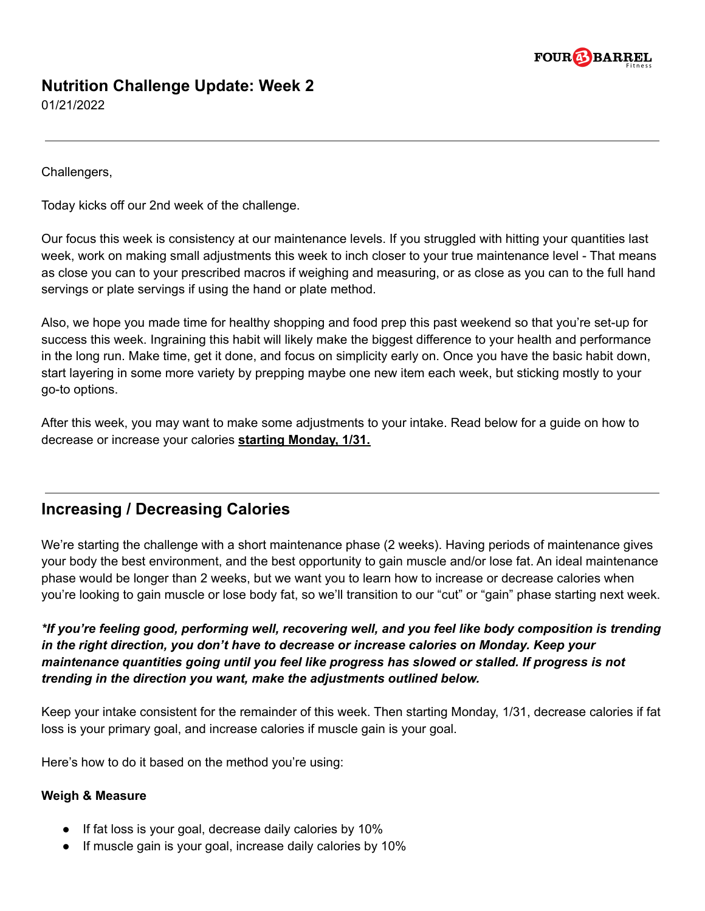

# **Nutrition Challenge Update: Week 2**

01/21/2022

Challengers,

Today kicks off our 2nd week of the challenge.

Our focus this week is consistency at our maintenance levels. If you struggled with hitting your quantities last week, work on making small adjustments this week to inch closer to your true maintenance level - That means as close you can to your prescribed macros if weighing and measuring, or as close as you can to the full hand servings or plate servings if using the hand or plate method.

Also, we hope you made time for healthy shopping and food prep this past weekend so that you're set-up for success this week. Ingraining this habit will likely make the biggest difference to your health and performance in the long run. Make time, get it done, and focus on simplicity early on. Once you have the basic habit down, start layering in some more variety by prepping maybe one new item each week, but sticking mostly to your go-to options.

After this week, you may want to make some adjustments to your intake. Read below for a guide on how to decrease or increase your calories **starting Monday, 1/31.**

## **Increasing / Decreasing Calories**

We're starting the challenge with a short maintenance phase (2 weeks). Having periods of maintenance gives your body the best environment, and the best opportunity to gain muscle and/or lose fat. An ideal maintenance phase would be longer than 2 weeks, but we want you to learn how to increase or decrease calories when you're looking to gain muscle or lose body fat, so we'll transition to our "cut" or "gain" phase starting next week.

*\*If you're feeling good, performing well, recovering well, and you feel like body composition is trending in the right direction, you don't have to decrease or increase calories on Monday. Keep your maintenance quantities going until you feel like progress has slowed or stalled. If progress is not trending in the direction you want, make the adjustments outlined below.*

Keep your intake consistent for the remainder of this week. Then starting Monday, 1/31, decrease calories if fat loss is your primary goal, and increase calories if muscle gain is your goal.

Here's how to do it based on the method you're using:

#### **Weigh & Measure**

- If fat loss is your goal, decrease daily calories by 10%
- If muscle gain is your goal, increase daily calories by 10%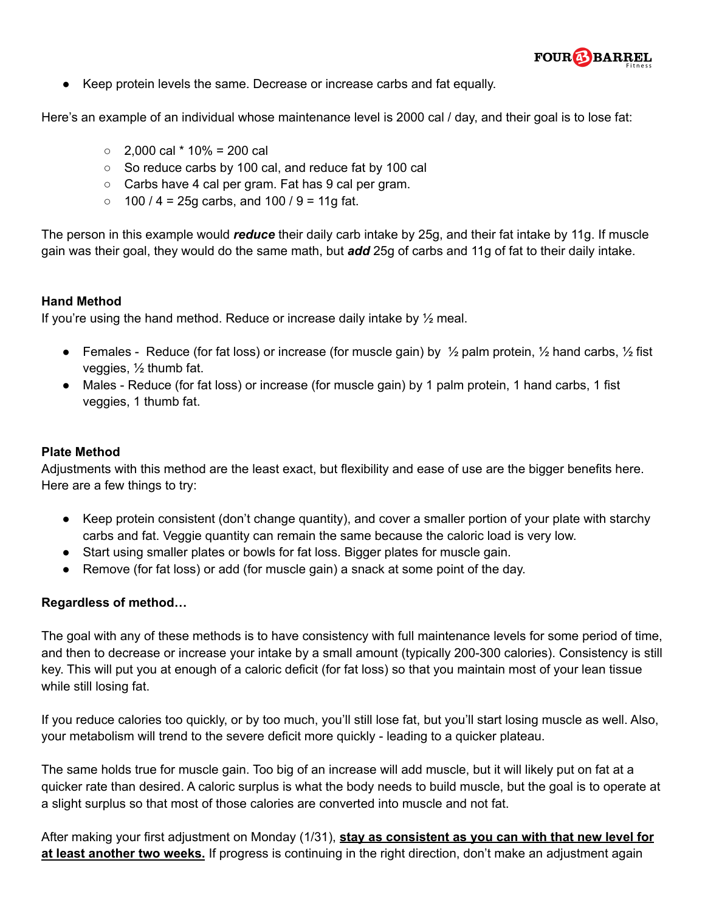

● Keep protein levels the same. Decrease or increase carbs and fat equally.

Here's an example of an individual whose maintenance level is 2000 cal / day, and their goal is to lose fat:

- $\circ$  2.000 cal  $*$  10% = 200 cal
- So reduce carbs by 100 cal, and reduce fat by 100 cal
- Carbs have 4 cal per gram. Fat has 9 cal per gram.
- $\circ$  100 / 4 = 25g carbs, and 100 / 9 = 11g fat.

The person in this example would *reduce* their daily carb intake by 25g, and their fat intake by 11g. If muscle gain was their goal, they would do the same math, but *add* 25g of carbs and 11g of fat to their daily intake.

### **Hand Method**

If you're using the hand method. Reduce or increase daily intake by  $\frac{1}{2}$  meal.

- Females Reduce (for fat loss) or increase (for muscle gain) by  $\frac{1}{2}$  palm protein,  $\frac{1}{2}$  hand carbs,  $\frac{1}{2}$  fist veggies, ½ thumb fat.
- Males Reduce (for fat loss) or increase (for muscle gain) by 1 palm protein, 1 hand carbs, 1 fist veggies, 1 thumb fat.

#### **Plate Method**

Adjustments with this method are the least exact, but flexibility and ease of use are the bigger benefits here. Here are a few things to try:

- Keep protein consistent (don't change quantity), and cover a smaller portion of your plate with starchy carbs and fat. Veggie quantity can remain the same because the caloric load is very low.
- Start using smaller plates or bowls for fat loss. Bigger plates for muscle gain.
- Remove (for fat loss) or add (for muscle gain) a snack at some point of the day.

### **Regardless of method…**

The goal with any of these methods is to have consistency with full maintenance levels for some period of time, and then to decrease or increase your intake by a small amount (typically 200-300 calories). Consistency is still key. This will put you at enough of a caloric deficit (for fat loss) so that you maintain most of your lean tissue while still losing fat.

If you reduce calories too quickly, or by too much, you'll still lose fat, but you'll start losing muscle as well. Also, your metabolism will trend to the severe deficit more quickly - leading to a quicker plateau.

The same holds true for muscle gain. Too big of an increase will add muscle, but it will likely put on fat at a quicker rate than desired. A caloric surplus is what the body needs to build muscle, but the goal is to operate at a slight surplus so that most of those calories are converted into muscle and not fat.

After making your first adjustment on Monday (1/31), **stay as consistent as you can with that new level for at least another two weeks.** If progress is continuing in the right direction, don't make an adjustment again